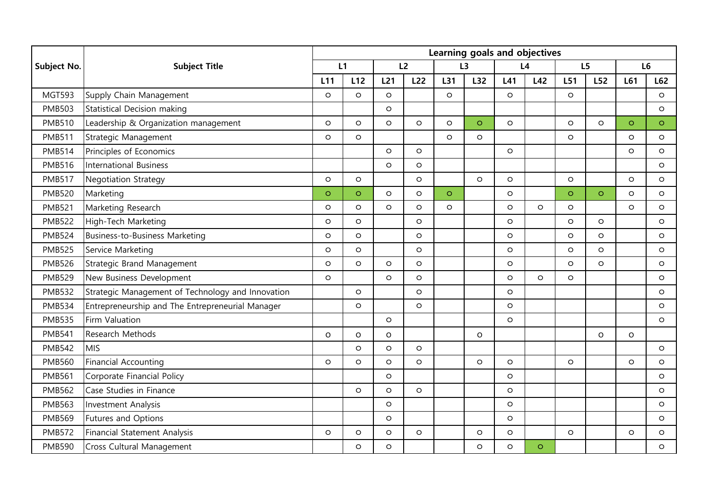|               | <b>Subject Title</b>                              | Learning goals and objectives |         |          |         |         |         |         |         |         |         |         |         |
|---------------|---------------------------------------------------|-------------------------------|---------|----------|---------|---------|---------|---------|---------|---------|---------|---------|---------|
| Subject No.   |                                                   | L1                            |         | L2       |         | L3      |         | L4      |         | L5      |         | L6      |         |
|               |                                                   | L11                           | L12     | L21      | L22     | L31     | L32     | L41     | L42     | L51     | L52     | L61     | L62     |
| <b>MGT593</b> | Supply Chain Management                           | $\circ$                       | O       | $\circ$  |         | $\circ$ |         | $\circ$ |         | $\circ$ |         |         | $\circ$ |
| <b>PMB503</b> | Statistical Decision making                       |                               |         | $\circ$  |         |         |         |         |         |         |         |         | $\circ$ |
| <b>PMB510</b> | Leadership & Organization management              | $\circ$                       | $\circ$ | $\circ$  | $\circ$ | $\circ$ | $\circ$ | $\circ$ |         | $\circ$ | $\circ$ | $\circ$ | $\circ$ |
| <b>PMB511</b> | Strategic Management                              | $\circ$                       | $\circ$ |          |         | $\circ$ | $\circ$ |         |         | $\circ$ |         | $\circ$ | $\circ$ |
| <b>PMB514</b> | Principles of Economics                           |                               |         | $\circ$  | $\circ$ |         |         | $\circ$ |         |         |         | $\circ$ | $\circ$ |
| <b>PMB516</b> | International Business                            |                               |         | $\circ$  | $\circ$ |         |         |         |         |         |         |         | $\circ$ |
| <b>PMB517</b> | <b>Negotiation Strategy</b>                       | $\circ$                       | $\circ$ |          | $\circ$ |         | $\circ$ | $\circ$ |         | $\circ$ |         | $\circ$ | $\circ$ |
| <b>PMB520</b> | Marketing                                         | $\circ$                       | $\circ$ | $\circ$  | $\circ$ | $\circ$ |         | $\circ$ |         | $\circ$ | $\circ$ | $\circ$ | $\circ$ |
| <b>PMB521</b> | Marketing Research                                | $\circ$                       | O       | $\circ$  | $\circ$ | $\circ$ |         | $\circ$ | $\circ$ | $\circ$ |         | $\circ$ | $\circ$ |
| <b>PMB522</b> | High-Tech Marketing                               | $\circ$                       | O       |          | $\circ$ |         |         | $\circ$ |         | $\circ$ | $\circ$ |         | $\circ$ |
| <b>PMB524</b> | Business-to-Business Marketing                    | $\circ$                       | $\circ$ |          | $\circ$ |         |         | $\circ$ |         | $\circ$ | $\circ$ |         | $\circ$ |
| <b>PMB525</b> | Service Marketing                                 | $\circ$                       | $\circ$ |          | $\circ$ |         |         | $\circ$ |         | $\circ$ | $\circ$ |         | $\circ$ |
| <b>PMB526</b> | Strategic Brand Management                        | $\circ$                       | $\circ$ | $\circ$  | $\circ$ |         |         | $\circ$ |         | $\circ$ | $\circ$ |         | $\circ$ |
| <b>PMB529</b> | New Business Development                          | $\circ$                       |         | $\circ$  | $\circ$ |         |         | $\circ$ | $\circ$ | $\circ$ |         |         | $\circ$ |
| <b>PMB532</b> | Strategic Management of Technology and Innovation |                               | $\circ$ |          | $\circ$ |         |         | $\circ$ |         |         |         |         | $\circ$ |
| <b>PMB534</b> | Entrepreneurship and The Entrepreneurial Manager  |                               | $\circ$ |          | $\circ$ |         |         | $\circ$ |         |         |         |         | $\circ$ |
| <b>PMB535</b> | Firm Valuation                                    |                               |         | $\circ$  |         |         |         | $\circ$ |         |         |         |         | $\circ$ |
| <b>PMB541</b> | Research Methods                                  | $\circ$                       | O       | $\Omega$ |         |         | $\circ$ |         |         |         | O       | $\circ$ |         |
| <b>PMB542</b> | <b>MIS</b>                                        |                               | $\circ$ | $\circ$  | $\circ$ |         |         |         |         |         |         |         | $\circ$ |
| <b>PMB560</b> | <b>Financial Accounting</b>                       | $\circ$                       | $\circ$ | $\circ$  | $\circ$ |         | $\circ$ | $\circ$ |         | $\circ$ |         | $\circ$ | $\circ$ |
| <b>PMB561</b> | Corporate Financial Policy                        |                               |         | $\circ$  |         |         |         | $\circ$ |         |         |         |         | $\circ$ |
| <b>PMB562</b> | Case Studies in Finance                           |                               | $\circ$ | $\circ$  | $\circ$ |         |         | $\circ$ |         |         |         |         | $\circ$ |
| <b>PMB563</b> | Investment Analysis                               |                               |         | $\circ$  |         |         |         | $\circ$ |         |         |         |         | $\circ$ |
| <b>PMB569</b> | Futures and Options                               |                               |         | $\circ$  |         |         |         | $\circ$ |         |         |         |         | $\circ$ |
| <b>PMB572</b> | Financial Statement Analysis                      | $\circ$                       | O       | $\circ$  | $\circ$ |         | $\circ$ | $\circ$ |         | $\circ$ |         | $\circ$ | O       |
| <b>PMB590</b> | Cross Cultural Management                         |                               | O       | O        |         |         | O       | O       | $\circ$ |         |         |         | $\circ$ |